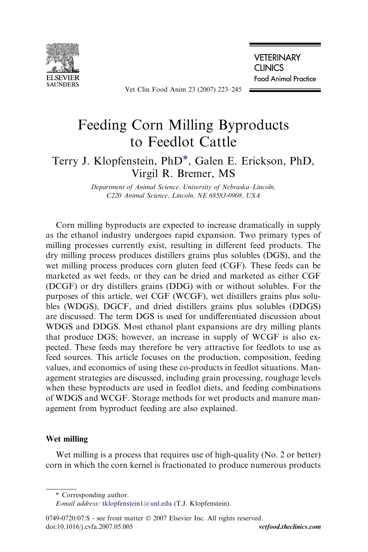

Vet Clin Food Anim 23 (2007) 223–245

**VETERINARY CLINICS** 

**Food Animal Practice** 

# Feeding Corn Milling Byproducts to Feedlot Cattle

# Terry J. Klopfenstein, PhD\*, Galen E. Erickson, PhD, Virgil R. Bremer, MS

Department of Animal Science, University of Nebraska–Lincoln, C220 Animal Science, Lincoln, NE 68583-0908, USA

Corn milling byproducts are expected to increase dramatically in supply as the ethanol industry undergoes rapid expansion. Two primary types of milling processes currently exist, resulting in different feed products. The dry milling process produces distillers grains plus solubles (DGS), and the wet milling process produces corn gluten feed (CGF). These feeds can be marketed as wet feeds, or they can be dried and marketed as either CGF (DCGF) or dry distillers grains (DDG) with or without solubles. For the purposes of this article, wet CGF (WCGF), wet distillers grains plus solubles (WDGS), DGCF, and dried distillers grains plus solubles (DDGS) are discussed. The term DGS is used for undifferentiated discussion about WDGS and DDGS. Most ethanol plant expansions are dry milling plants that produce DGS; however, an increase in supply of WCGF is also expected. These feeds may therefore be very attractive for feedlots to use as feed sources. This article focuses on the production, composition, feeding values, and economics of using these co-products in feedlot situations. Management strategies are discussed, including grain processing, roughage levels when these byproducts are used in feedlot diets, and feeding combinations of WDGS and WCGF. Storage methods for wet products and manure management from byproduct feeding are also explained.

# Wet milling

Wet milling is a process that requires use of high-quality (No. 2 or better) corn in which the corn kernel is fractionated to produce numerous products

<sup>\*</sup> Corresponding author.

E-mail address: [tklopfenstein1@unl.edu](mailto:tklopfenstein1@unl.edu) (T.J. Klopfenstein).

 $0749-0720/07$  s - see front matter  $\odot$  2007 Elsevier Inc. All rights reserved. doi:10.1016/j.cvfa.2007.05.005 vetfood.theclinics.com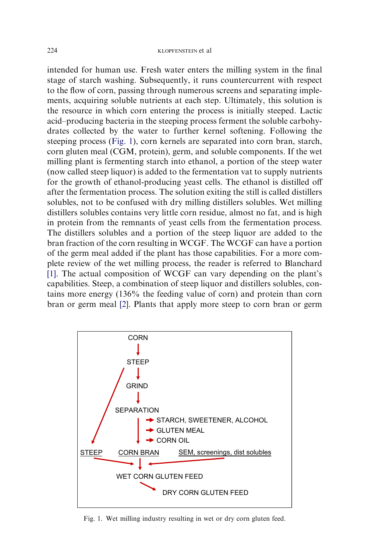intended for human use. Fresh water enters the milling system in the final stage of starch washing. Subsequently, it runs countercurrent with respect to the flow of corn, passing through numerous screens and separating implements, acquiring soluble nutrients at each step. Ultimately, this solution is the resource in which corn entering the process is initially steeped. Lactic acid–producing bacteria in the steeping process ferment the soluble carbohydrates collected by the water to further kernel softening. Following the steeping process (Fig. 1), corn kernels are separated into corn bran, starch, corn gluten meal (CGM, protein), germ, and soluble components. If the wet milling plant is fermenting starch into ethanol, a portion of the steep water (now called steep liquor) is added to the fermentation vat to supply nutrients for the growth of ethanol-producing yeast cells. The ethanol is distilled off after the fermentation process. The solution exiting the still is called distillers solubles, not to be confused with dry milling distillers solubles. Wet milling distillers solubles contains very little corn residue, almost no fat, and is high in protein from the remnants of yeast cells from the fermentation process. The distillers solubles and a portion of the steep liquor are added to the bran fraction of the corn resulting in WCGF. The WCGF can have a portion of the germ meal added if the plant has those capabilities. For a more complete review of the wet milling process, the reader is referred to Blanchard [\[1\].](#page-20-0) The actual composition of WCGF can vary depending on the plant's capabilities. Steep, a combination of steep liquor and distillers solubles, contains more energy (136% the feeding value of corn) and protein than corn bran or germ meal [\[2\].](#page-20-0) Plants that apply more steep to corn bran or germ



Fig. 1. Wet milling industry resulting in wet or dry corn gluten feed.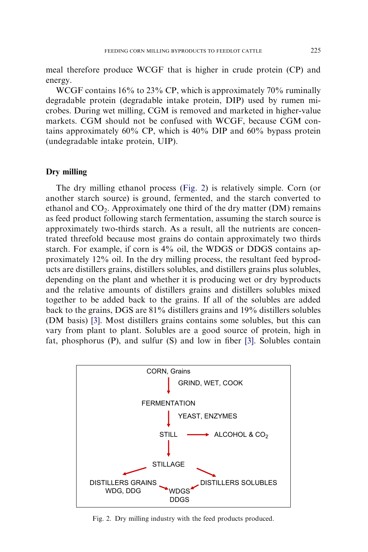meal therefore produce WCGF that is higher in crude protein (CP) and energy.

WCGF contains 16% to 23% CP, which is approximately 70% ruminally degradable protein (degradable intake protein, DIP) used by rumen microbes. During wet milling, CGM is removed and marketed in higher-value markets. CGM should not be confused with WCGF, because CGM contains approximately 60% CP, which is 40% DIP and 60% bypass protein (undegradable intake protein, UIP).

#### Dry milling

The dry milling ethanol process (Fig. 2) is relatively simple. Corn (or another starch source) is ground, fermented, and the starch converted to ethanol and  $CO<sub>2</sub>$ . Approximately one third of the dry matter (DM) remains as feed product following starch fermentation, assuming the starch source is approximately two-thirds starch. As a result, all the nutrients are concentrated threefold because most grains do contain approximately two thirds starch. For example, if corn is 4% oil, the WDGS or DDGS contains approximately 12% oil. In the dry milling process, the resultant feed byproducts are distillers grains, distillers solubles, and distillers grains plus solubles, depending on the plant and whether it is producing wet or dry byproducts and the relative amounts of distillers grains and distillers solubles mixed together to be added back to the grains. If all of the solubles are added back to the grains, DGS are 81% distillers grains and 19% distillers solubles (DM basis) [\[3\]](#page-20-0). Most distillers grains contains some solubles, but this can vary from plant to plant. Solubles are a good source of protein, high in fat, phosphorus (P), and sulfur (S) and low in fiber [\[3\].](#page-20-0) Solubles contain



Fig. 2. Dry milling industry with the feed products produced.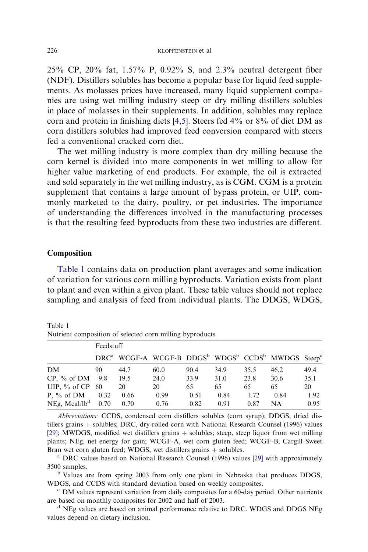<span id="page-3-0"></span>25% CP, 20% fat, 1.57% P, 0.92% S, and 2.3% neutral detergent fiber (NDF). Distillers solubles has become a popular base for liquid feed supplements. As molasses prices have increased, many liquid supplement companies are using wet milling industry steep or dry milling distillers solubles in place of molasses in their supplements. In addition, solubles may replace corn and protein in finishing diets [\[4,5\].](#page-20-0) Steers fed 4% or 8% of diet DM as corn distillers solubles had improved feed conversion compared with steers fed a conventional cracked corn diet.

The wet milling industry is more complex than dry milling because the corn kernel is divided into more components in wet milling to allow for higher value marketing of end products. For example, the oil is extracted and sold separately in the wet milling industry, as is CGM. CGM is a protein supplement that contains a large amount of bypass protein, or UIP, commonly marketed to the dairy, poultry, or pet industries. The importance of understanding the differences involved in the manufacturing processes is that the resulting feed byproducts from these two industries are different.

# Composition

Table 1 contains data on production plant averages and some indication of variation for various corn milling byproducts. Variation exists from plant to plant and even within a given plant. These table values should not replace sampling and analysis of feed from individual plants. The DDGS, WDGS,

|                        | Feedstuff |                                                                                                               |      |      |      |      |      |      |
|------------------------|-----------|---------------------------------------------------------------------------------------------------------------|------|------|------|------|------|------|
|                        |           | DRC <sup>a</sup> WCGF-A WCGF-B DDGS <sup>b</sup> WDGS <sup>b</sup> CCDS <sup>b</sup> MWDGS Steep <sup>c</sup> |      |      |      |      |      |      |
| DM                     | 90        | 44.7                                                                                                          | 60.0 | 90.4 | 34.9 | 35.5 | 46.2 | 49.4 |
| $CP, \%$ of DM $9.8$   |           | 19.5                                                                                                          | 24.0 | 33.9 | 31.0 | 23.8 | 30.6 | 35.1 |
| UIP, $\%$ of CP 60     |           | 20                                                                                                            | 20   | 65   | 65   | 65   | 65   | 20   |
| P, $\%$ of DM          | 0.32      | 0.66                                                                                                          | 0.99 | 0.51 | 0.84 | 1.72 | 0.84 | 1.92 |
| NEg, Mcal/l $b^d$ 0.70 |           | 0.70                                                                                                          | 0.76 | 0.82 | 0.91 | 0.87 | NΑ   | 0.95 |

Table 1 Nutrient composition of selected corn milling byproducts

Abbreviations: CCDS, condensed corn distillers solubles (corn syrup); DDGS, dried distillers grains  $+$  solubles; DRC, dry-rolled corn with National Research Counsel (1996) values [\[29\];](#page-21-0) MWDGS, modified wet distillers grains + solubles; steep, steep liquor from wet milling plants; NEg, net energy for gain; WCGF-A, wet corn gluten feed; WCGF-B, Cargill Sweet Bran wet corn gluten feed; WDGS, wet distillers grains + solubles.<br><sup>a</sup> DRC values based on National Research Counsel (1996) values [\[29\]](#page-21-0) with approximately

<sup>5</sup> 3500 samples.<br><sup>b</sup> Values are from spring 2003 from only one plant in Nebraska that produces DDGS,

WDGS, and CCDS with standard deviation based on weekly composites.

<sup>c</sup> DM values represent variation from daily composites for a 60-day period. Other nutrients are based on monthly composites for 2002 and half of 2003.<br><sup>d</sup> NEg values are based on animal performance relative to DRC. WDGS and DDGS NEg

values depend on dietary inclusion.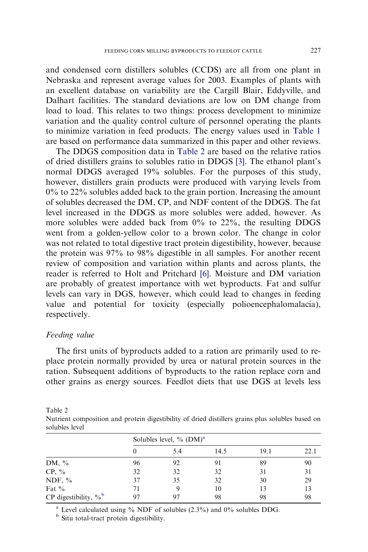and condensed corn distillers solubles (CCDS) are all from one plant in Nebraska and represent average values for 2003. Examples of plants with an excellent database on variability are the Cargill Blair, Eddyville, and Dalhart facilities. The standard deviations are low on DM change from load to load. This relates to two things: process development to minimize variation and the quality control culture of personnel operating the plants to minimize variation in feed products. The energy values used in [Table 1](#page-3-0) are based on performance data summarized in this paper and other reviews.

The DDGS composition data in Table 2 are based on the relative ratios of dried distillers grains to solubles ratio in DDGS [\[3\]](#page-20-0). The ethanol plant's normal DDGS averaged 19% solubles. For the purposes of this study, however, distillers grain products were produced with varying levels from 0% to 22% solubles added back to the grain portion. Increasing the amount of solubles decreased the DM, CP, and NDF content of the DDGS. The fat level increased in the DDGS as more solubles were added, however. As more solubles were added back from  $0\%$  to  $22\%$ , the resulting DDGS went from a golden-yellow color to a brown color. The change in color was not related to total digestive tract protein digestibility, however, because the protein was 97% to 98% digestible in all samples. For another recent review of composition and variation within plants and across plants, the reader is referred to Holt and Pritchard [\[6\]](#page-20-0). Moisture and DM variation are probably of greatest importance with wet byproducts. Fat and sulfur levels can vary in DGS, however, which could lead to changes in feeding value and potential for toxicity (especially polioencephalomalacia), respectively.

#### Feeding value

The first units of byproducts added to a ration are primarily used to replace protein normally provided by urea or natural protein sources in the ration. Subsequent additions of byproducts to the ration replace corn and other grains as energy sources. Feedlot diets that use DGS at levels less

Table 2

Nutrient composition and protein digestibility of dried distillers grains plus solubles based on solubles level

|                                     | Solubles level, $\%$ (DM) <sup>a</sup> |     |      |      |      |  |  |  |  |
|-------------------------------------|----------------------------------------|-----|------|------|------|--|--|--|--|
|                                     |                                        | 5.4 | 14.5 | 19.1 | 22.1 |  |  |  |  |
| DM, $\%$                            | 96                                     | 92  |      | 89   | 90   |  |  |  |  |
| $CP, \%$                            | 32                                     | 32  | 32   | 31   | 31   |  |  |  |  |
| NDF, $%$                            | 37                                     | 35  | 32   | 30   | 29   |  |  |  |  |
| Fat $\%$                            | 71                                     | 9   | 10   | 13   | 13   |  |  |  |  |
| CP digestibility, $\%$ <sup>b</sup> | 97                                     |     | 98   | 98   | 98   |  |  |  |  |

<sup>a</sup> Level calculated using  $\%$  NDF of solubles (2.3%) and 0% solubles DDG.

**b** Situ total-tract protein digestibility.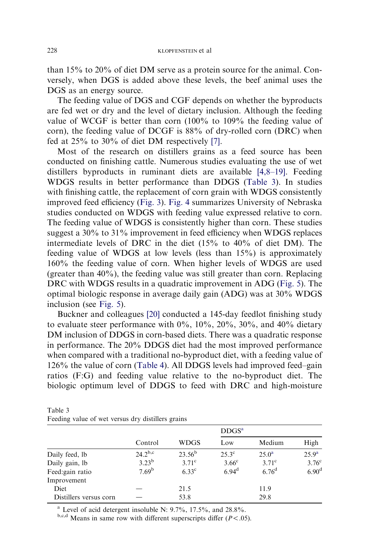than 15% to 20% of diet DM serve as a protein source for the animal. Conversely, when DGS is added above these levels, the beef animal uses the DGS as an energy source.

The feeding value of DGS and CGF depends on whether the byproducts are fed wet or dry and the level of dietary inclusion. Although the feeding value of WCGF is better than corn (100% to 109% the feeding value of corn), the feeding value of DCGF is 88% of dry-rolled corn (DRC) when fed at 25% to 30% of diet DM respectively [\[7\]](#page-21-0).

Most of the research on distillers grains as a feed source has been conducted on finishing cattle. Numerous studies evaluating the use of wet distillers byproducts in ruminant diets are available [\[4,8–19\]](#page-20-0). Feeding WDGS results in better performance than DDGS (Table 3). In studies with finishing cattle, the replacement of corn grain with WDGS consistently improved feed efficiency [\(Fig. 3\)](#page-6-0). [Fig. 4](#page-6-0) summarizes University of Nebraska studies conducted on WDGS with feeding value expressed relative to corn. The feeding value of WDGS is consistently higher than corn. These studies suggest a 30% to 31% improvement in feed efficiency when WDGS replaces intermediate levels of DRC in the diet (15% to 40% of diet DM). The feeding value of WDGS at low levels (less than 15%) is approximately 160% the feeding value of corn. When higher levels of WDGS are used (greater than 40%), the feeding value was still greater than corn. Replacing DRC with WDGS results in a quadratic improvement in ADG [\(Fig. 5](#page-7-0)). The optimal biologic response in average daily gain (ADG) was at 30% WDGS inclusion (see [Fig. 5\)](#page-7-0).

Buckner and colleagues [\[20\]](#page-21-0) conducted a 145-day feedlot finishing study to evaluate steer performance with  $0\%$ ,  $10\%$ ,  $20\%$ ,  $30\%$ , and  $40\%$  dietary DM inclusion of DDGS in corn-based diets. There was a quadratic response in performance. The 20% DDGS diet had the most improved performance when compared with a traditional no-byproduct diet, with a feeding value of 126% the value of corn ([Table 4\)](#page-7-0). All DDGS levels had improved feed–gain ratios (F:G) and feeding value relative to the no-byproduct diet. The biologic optimum level of DDGS to feed with DRC and high-moisture

| Table 3                                           |  |  |  |
|---------------------------------------------------|--|--|--|
| Feeding value of wet versus dry distillers grains |  |  |  |

|                        |                   |                 | DDGS <sup>a</sup> |                |                   |  |
|------------------------|-------------------|-----------------|-------------------|----------------|-------------------|--|
|                        | Control           | <b>WDGS</b>     | Low               | Medium         | High              |  |
| Daily feed, lb         | $24.2^{b,c}$      | $23.56^{\rm b}$ | $25.3^{\circ}$    | $25.0^{\rm a}$ | 25.9 <sup>a</sup> |  |
| Daily gain, lb         | $3.23^{b}$        | $3.71^{\circ}$  | 3.66 <sup>c</sup> | $3.71^\circ$   | 3.76 <sup>c</sup> |  |
| Feed: gain ratio       | 7.69 <sup>b</sup> | $6.33^{\circ}$  | $6.94^{\rm d}$    | $6.76^{\rm d}$ | 6.90 <sup>d</sup> |  |
| Improvement            |                   |                 |                   |                |                   |  |
| Diet                   |                   | 21.5            |                   | 11.9           |                   |  |
| Distillers versus corn |                   | 53.8            |                   | 29.8           |                   |  |

<sup>a</sup> Level of acid detergent insoluble N:  $9.7\%$ , 17.5%, and 28.8%.

 $b,c,d$  Means in same row with different superscripts differ ( $P < .05$ ).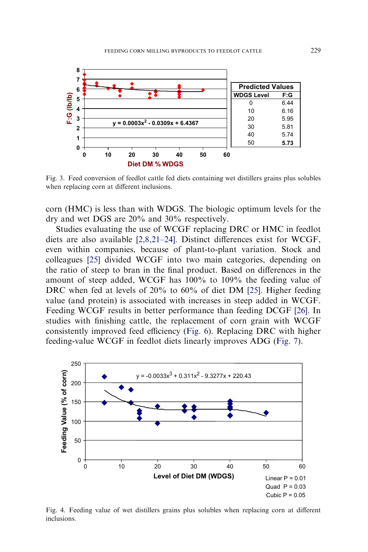<span id="page-6-0"></span>

Fig. 3. Feed conversion of feedlot cattle fed diets containing wet distillers grains plus solubles when replacing corn at different inclusions.

corn (HMC) is less than with WDGS. The biologic optimum levels for the dry and wet DGS are 20% and 30% respectively.

Studies evaluating the use of WCGF replacing DRC or HMC in feedlot diets are also available [\[2,8,21–24\].](#page-20-0) Distinct differences exist for WCGF, even within companies, because of plant-to-plant variation. Stock and colleagues [\[25\]](#page-21-0) divided WCGF into two main categories, depending on the ratio of steep to bran in the final product. Based on differences in the amount of steep added, WCGF has 100% to 109% the feeding value of DRC when fed at levels of 20% to 60% of diet DM [\[25\].](#page-21-0) Higher feeding value (and protein) is associated with increases in steep added in WCGF. Feeding WCGF results in better performance than feeding DCGF [\[26\]](#page-21-0). In studies with finishing cattle, the replacement of corn grain with WCGF consistently improved feed efficiency ([Fig. 6](#page-8-0)). Replacing DRC with higher feeding-value WCGF in feedlot diets linearly improves ADG [\(Fig. 7\)](#page-8-0).



Fig. 4. Feeding value of wet distillers grains plus solubles when replacing corn at different inclusions.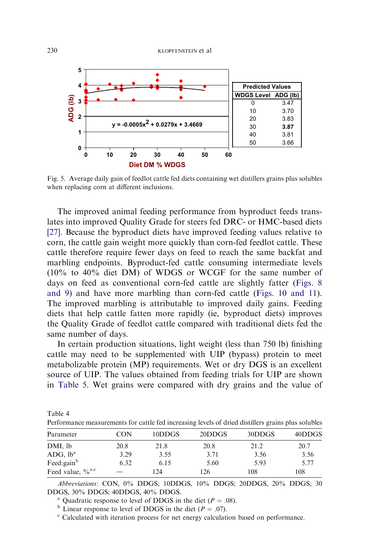<span id="page-7-0"></span>

Fig. 5. Average daily gain of feedlot cattle fed diets containing wet distillers grains plus solubles when replacing corn at different inclusions.

The improved animal feeding performance from byproduct feeds translates into improved Quality Grade for steers fed DRC- or HMC-based diets [\[27\].](#page-21-0) Because the byproduct diets have improved feeding values relative to corn, the cattle gain weight more quickly than corn-fed feedlot cattle. These cattle therefore require fewer days on feed to reach the same backfat and marbling endpoints. Byproduct-fed cattle consuming intermediate levels (10% to 40% diet DM) of WDGS or WCGF for the same number of days on feed as conventional corn-fed cattle are slightly fatter [\(Figs. 8](#page-9-0) [and 9](#page-9-0)) and have more marbling than corn-fed cattle ([Figs. 10 and 11](#page-10-0)). The improved marbling is attributable to improved daily gains. Feeding diets that help cattle fatten more rapidly (ie, byproduct diets) improves the Quality Grade of feedlot cattle compared with traditional diets fed the same number of days.

In certain production situations, light weight (less than 750 lb) finishing cattle may need to be supplemented with UIP (bypass) protein to meet metabolizable protein (MP) requirements. Wet or dry DGS is an excellent source of UIP. The values obtained from feeding trials for UIP are shown in [Table 5.](#page-11-0) Wet grains were compared with dry grains and the value of

| Table 4<br>Performance measurements for cattle fed increasing levels of dried distillers grains plus solubles |            |        |        |        |        |  |  |  |  |  |
|---------------------------------------------------------------------------------------------------------------|------------|--------|--------|--------|--------|--|--|--|--|--|
| Parameter                                                                                                     | <b>CON</b> | 10DDGS | 20DDGS | 30DDGS | 40DDGS |  |  |  |  |  |
| DMI, lb                                                                                                       | 20.8       | 21.8   | 20.8   | 21.2   | 20.7   |  |  |  |  |  |
| ADG, lb <sup>a</sup>                                                                                          | 3.29       | 3.55   | 3.71   | 3.56   | 3.56   |  |  |  |  |  |

Abbreviations: CON, 0% DDGS; 10DDGS, 10% DDGS; 20DDGS, 20% DDGS; 30 DDGS, 30% DDGS; 40DDGS, 40% DDGS.<br>
<sup>a</sup> Quadratic response to level of DDGS in the diet ( $P = .08$ ).<br>
<sup>b</sup> Linear response to level of DDGS in the diet ( $P = .07$ ).<br>
<sup>c</sup> Calculated with iteration process for net energy calculat

Feed:gain<sup>b</sup> 6.32 6.15 5.60 5.93 5.77 Feed value,  $\frac{9}{6}$ <sup>a,c</sup>  $-$  124 126 108 108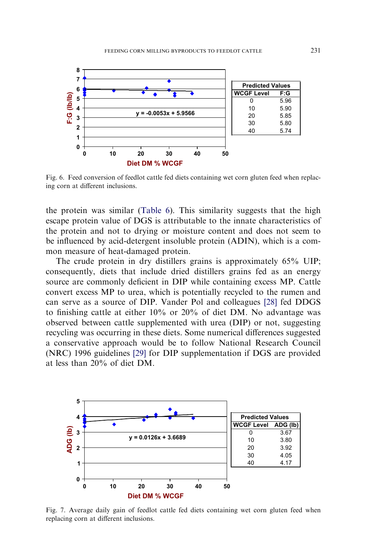<span id="page-8-0"></span>

Fig. 6. Feed conversion of feedlot cattle fed diets containing wet corn gluten feed when replacing corn at different inclusions.

the protein was similar [\(Table 6](#page-11-0)). This similarity suggests that the high escape protein value of DGS is attributable to the innate characteristics of the protein and not to drying or moisture content and does not seem to be influenced by acid-detergent insoluble protein (ADIN), which is a common measure of heat-damaged protein.

The crude protein in dry distillers grains is approximately 65% UIP; consequently, diets that include dried distillers grains fed as an energy source are commonly deficient in DIP while containing excess MP. Cattle convert excess MP to urea, which is potentially recycled to the rumen and can serve as a source of DIP. Vander Pol and colleagues [\[28\]](#page-21-0) fed DDGS to finishing cattle at either 10% or 20% of diet DM. No advantage was observed between cattle supplemented with urea (DIP) or not, suggesting recycling was occurring in these diets. Some numerical differences suggested a conservative approach would be to follow National Research Council (NRC) 1996 guidelines [\[29\]](#page-21-0) for DIP supplementation if DGS are provided at less than 20% of diet DM.



Fig. 7. Average daily gain of feedlot cattle fed diets containing wet corn gluten feed when replacing corn at different inclusions.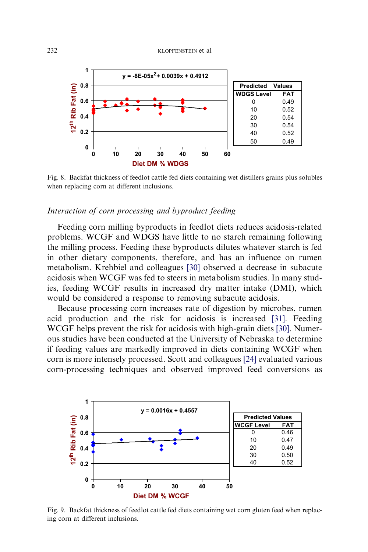<span id="page-9-0"></span>

Fig. 8. Backfat thickness of feedlot cattle fed diets containing wet distillers grains plus solubles when replacing corn at different inclusions.

# Interaction of corn processing and byproduct feeding

Feeding corn milling byproducts in feedlot diets reduces acidosis-related problems. WCGF and WDGS have little to no starch remaining following the milling process. Feeding these byproducts dilutes whatever starch is fed in other dietary components, therefore, and has an influence on rumen metabolism. Krehbiel and colleagues [\[30\]](#page-21-0) observed a decrease in subacute acidosis when WCGF was fed to steers in metabolism studies. In many studies, feeding WCGF results in increased dry matter intake (DMI), which would be considered a response to removing subacute acidosis.

Because processing corn increases rate of digestion by microbes, rumen acid production and the risk for acidosis is increased [\[31\].](#page-22-0) Feeding WCGF helps prevent the risk for acidosis with high-grain diets [\[30\].](#page-21-0) Numerous studies have been conducted at the University of Nebraska to determine if feeding values are markedly improved in diets containing WCGF when corn is more intensely processed. Scott and colleagues [\[24\]](#page-21-0) evaluated various corn-processing techniques and observed improved feed conversions as



Fig. 9. Backfat thickness of feedlot cattle fed diets containing wet corn gluten feed when replacing corn at different inclusions.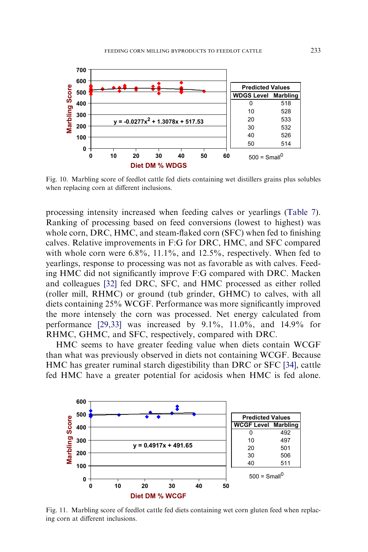<span id="page-10-0"></span>

Fig. 10. Marbling score of feedlot cattle fed diets containing wet distillers grains plus solubles when replacing corn at different inclusions.

processing intensity increased when feeding calves or yearlings [\(Table 7\)](#page-12-0). Ranking of processing based on feed conversions (lowest to highest) was whole corn, DRC, HMC, and steam-flaked corn (SFC) when fed to finishing calves. Relative improvements in F:G for DRC, HMC, and SFC compared with whole corn were  $6.8\%$ ,  $11.1\%$ , and  $12.5\%$ , respectively. When fed to yearlings, response to processing was not as favorable as with calves. Feeding HMC did not significantly improve F:G compared with DRC. Macken and colleagues [\[32\]](#page-22-0) fed DRC, SFC, and HMC processed as either rolled (roller mill, RHMC) or ground (tub grinder, GHMC) to calves, with all diets containing 25% WCGF. Performance was more significantly improved the more intensely the corn was processed. Net energy calculated from performance [\[29,33\]](#page-21-0) was increased by 9.1%, 11.0%, and 14.9% for RHMC, GHMC, and SFC, respectively, compared with DRC.

HMC seems to have greater feeding value when diets contain WCGF than what was previously observed in diets not containing WCGF. Because HMC has greater ruminal starch digestibility than DRC or SFC [\[34\],](#page-22-0) cattle fed HMC have a greater potential for acidosis when HMC is fed alone.



Fig. 11. Marbling score of feedlot cattle fed diets containing wet corn gluten feed when replacing corn at different inclusions.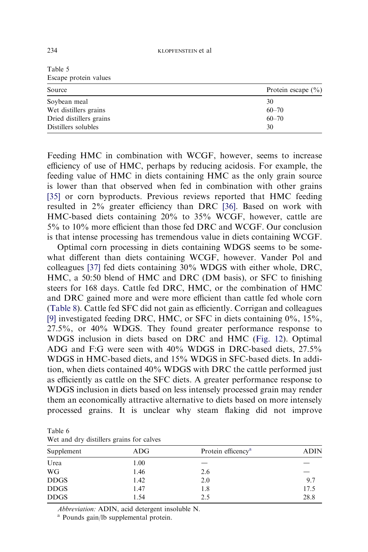| escape protein values   |                        |  |  |  |  |
|-------------------------|------------------------|--|--|--|--|
| Source                  | Protein escape $(\% )$ |  |  |  |  |
| Soybean meal            | 30                     |  |  |  |  |
| Wet distillers grains   | $60 - 70$              |  |  |  |  |
| Dried distillers grains | $60 - 70$              |  |  |  |  |
| Distillers solubles     | 30                     |  |  |  |  |

Feeding HMC in combination with WCGF, however, seems to increase efficiency of use of HMC, perhaps by reducing acidosis. For example, the feeding value of HMC in diets containing HMC as the only grain source is lower than that observed when fed in combination with other grains [\[35\]](#page-22-0) or corn byproducts. Previous reviews reported that HMC feeding resulted in 2% greater efficiency than DRC [\[36\].](#page-22-0) Based on work with HMC-based diets containing 20% to 35% WCGF, however, cattle are 5% to 10% more efficient than those fed DRC and WCGF. Our conclusion is that intense processing has tremendous value in diets containing WCGF.

Optimal corn processing in diets containing WDGS seems to be somewhat different than diets containing WCGF, however. Vander Pol and colleagues [\[37\]](#page-22-0) fed diets containing 30% WDGS with either whole, DRC, HMC, a 50:50 blend of HMC and DRC (DM basis), or SFC to finishing steers for 168 days. Cattle fed DRC, HMC, or the combination of HMC and DRC gained more and were more efficient than cattle fed whole corn ([Table 8](#page-13-0)). Cattle fed SFC did not gain as efficiently. Corrigan and colleagues [\[9\]](#page-21-0) investigated feeding DRC, HMC, or SFC in diets containing 0%, 15%, 27.5%, or 40% WDGS. They found greater performance response to WDGS inclusion in diets based on DRC and HMC [\(Fig. 12](#page-13-0)). Optimal ADG and F:G were seen with 40% WDGS in DRC-based diets, 27.5% WDGS in HMC-based diets, and 15% WDGS in SFC-based diets. In addition, when diets contained 40% WDGS with DRC the cattle performed just as efficiently as cattle on the SFC diets. A greater performance response to WDGS inclusion in diets based on less intensely processed grain may render them an economically attractive alternative to diets based on more intensely processed grains. It is unclear why steam flaking did not improve

Table 6 Wet and dry distillers grains for calves

| <b>ADIN</b> |
|-------------|
|             |
|             |
| 9.7         |
| 17.5        |
| 28.8        |
|             |

Abbreviation: ADIN, acid detergent insoluble N. <sup>a</sup> Pounds gain/lb supplemental protein.

<span id="page-11-0"></span>Table 5

Escape protein values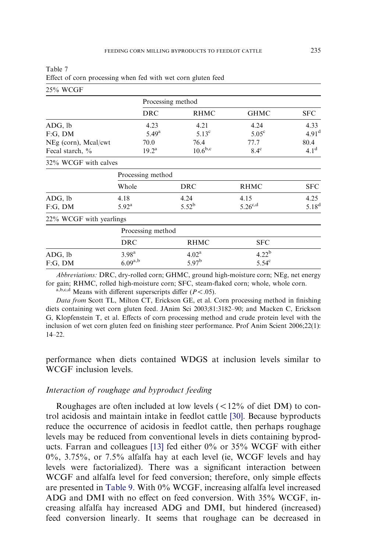| 25% WCGF                |                   |                   |                   |                   |
|-------------------------|-------------------|-------------------|-------------------|-------------------|
|                         |                   | Processing method |                   |                   |
|                         | <b>DRC</b>        | <b>RHMC</b>       | <b>GHMC</b>       | <b>SFC</b>        |
| ADG, lb                 | 4.23              | 4.21              | 4.24              | 4.33              |
| F:G, DM                 | $5.49^{\rm a}$    | $5.13^{\circ}$    | 5.05 <sup>c</sup> | 4.91 <sup>d</sup> |
| NEg (corn), Meal/cwt    | 70.0              | 76.4              | 77.7              | 80.4              |
| Fecal starch, %         | $19.2^{\rm a}$    | $10.6^{\rm b,c}$  | $8.4^\circ$       | $4.1^d$           |
| 32% WCGF with calves    |                   |                   |                   |                   |
|                         | Processing method |                   |                   |                   |
|                         | Whole             | <b>DRC</b>        | <b>RHMC</b>       | <b>SFC</b>        |
| ADG, lb                 | 4.18              | 4.24              | 4.15              | 4.25              |
| F:G, DM                 | $5.92^{\rm a}$    | $5.52^{b}$        | $5.26^{c,d}$      | $5.18^{d}$        |
| 22% WCGF with yearlings |                   |                   |                   |                   |
|                         | Processing method |                   |                   |                   |
|                         | <b>DRC</b>        | <b>RHMC</b>       | <b>SFC</b>        |                   |
| ADG, lb                 | 3.98 <sup>a</sup> | 4.02 <sup>a</sup> | 4.22 <sup>b</sup> |                   |
| F:G, DM                 | $6.09^{a,b}$      | 5.97 <sup>b</sup> | $5.54^{\circ}$    |                   |
|                         |                   |                   |                   |                   |

<span id="page-12-0"></span>

| Table 7 |                                                              |  |  |  |  |
|---------|--------------------------------------------------------------|--|--|--|--|
|         | Effect of corn processing when fed with wet corn gluten feed |  |  |  |  |

Abbreviations: DRC, dry-rolled corn; GHMC, ground high-moisture corn; NEg, net energy for gain; RHMC, rolled high-moisture corn; SFC, steam-flaked corn; whole, whole corn.

a,b,c,d Means with different superscripts differ  $(P < .05)$ .

Data from Scott TL, Milton CT, Erickson GE, et al. Corn processing method in finishing diets containing wet corn gluten feed. JAnim Sci 2003;81:3182–90; and Macken C, Erickson G, Klopfenstein T, et al. Effects of corn processing method and crude protein level with the inclusion of wet corn gluten feed on finishing steer performance. Prof Anim Scient 2006;22(1): 14–22.

performance when diets contained WDGS at inclusion levels similar to WCGF inclusion levels.

# Interaction of roughage and byproduct feeding

Roughages are often included at low levels  $(<12\%$  of diet DM) to control acidosis and maintain intake in feedlot cattle [\[30\]](#page-21-0). Because byproducts reduce the occurrence of acidosis in feedlot cattle, then perhaps roughage levels may be reduced from conventional levels in diets containing byproducts. Farran and colleagues [\[13\]](#page-21-0) fed either 0% or 35% WCGF with either 0%, 3.75%, or 7.5% alfalfa hay at each level (ie, WCGF levels and hay levels were factorialized). There was a significant interaction between WCGF and alfalfa level for feed conversion; therefore, only simple effects are presented in [Table 9.](#page-14-0) With 0% WCGF, increasing alfalfa level increased ADG and DMI with no effect on feed conversion. With 35% WCGF, increasing alfalfa hay increased ADG and DMI, but hindered (increased) feed conversion linearly. It seems that roughage can be decreased in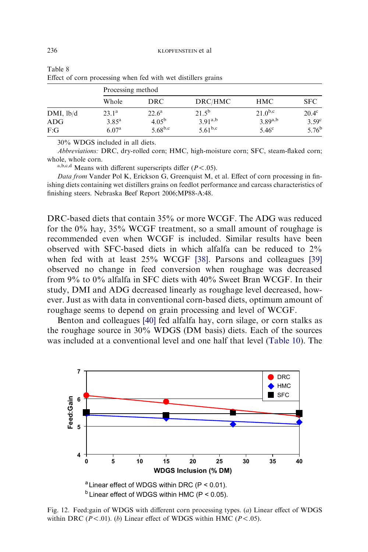|                | Processing method |                |              |              |                   |  |  |  |
|----------------|-------------------|----------------|--------------|--------------|-------------------|--|--|--|
|                | Whole             | <b>DRC</b>     | DRC/HMC      | HMC          | <b>SFC</b>        |  |  |  |
| $DMI$ , $lb/d$ | $23.1^{\rm a}$    | $22.6^{\rm a}$ | $21.5^{b}$   | $21.0^{b,c}$ | $20.4^{\circ}$    |  |  |  |
| ADG            | $3.85^{\rm a}$    | $4.05^{\rm b}$ | $3.91^{a,b}$ | $3.89^{a,b}$ | 3.59 <sup>c</sup> |  |  |  |
| F:G            | 6.07 <sup>a</sup> | $5.68^{b,c}$   | $5.61^{b,c}$ | $5.46^\circ$ | $5.76^{\rm b}$    |  |  |  |

<span id="page-13-0"></span>

| Table 8 |                                                               |  |  |  |
|---------|---------------------------------------------------------------|--|--|--|
|         | Effect of corn processing when fed with wet distillers grains |  |  |  |

30% WDGS included in all diets.

Abbreviations: DRC, dry-rolled corn; HMC, high-moisture corn; SFC, steam-flaked corn; whole, whole corn.

a,b,c,d Means with different superscripts differ  $(P < .05)$ .

Data from Vander Pol K, Erickson G, Greenquist M, et al. Effect of corn processing in finishing diets containing wet distillers grains on feedlot performance and carcass characteristics of finishing steers. Nebraska Beef Report 2006;MP88-A:48.

DRC-based diets that contain 35% or more WCGF. The ADG was reduced for the 0% hay, 35% WCGF treatment, so a small amount of roughage is recommended even when WCGF is included. Similar results have been observed with SFC-based diets in which alfalfa can be reduced to 2% when fed with at least 25% WCGF [\[38\]](#page-22-0). Parsons and colleagues [\[39\]](#page-22-0) observed no change in feed conversion when roughage was decreased from 9% to 0% alfalfa in SFC diets with 40% Sweet Bran WCGF. In their study, DMI and ADG decreased linearly as roughage level decreased, however. Just as with data in conventional corn-based diets, optimum amount of roughage seems to depend on grain processing and level of WCGF.

Benton and colleagues [\[40\]](#page-22-0) fed alfalfa hay, corn silage, or corn stalks as the roughage source in 30% WDGS (DM basis) diets. Each of the sources was included at a conventional level and one half that level [\(Table 10\)](#page-14-0). The



Fig. 12. Feed:gain of WDGS with different corn processing types. (a) Linear effect of WDGS within DRC ( $P < .01$ ). (b) Linear effect of WDGS within HMC ( $P < .05$ ).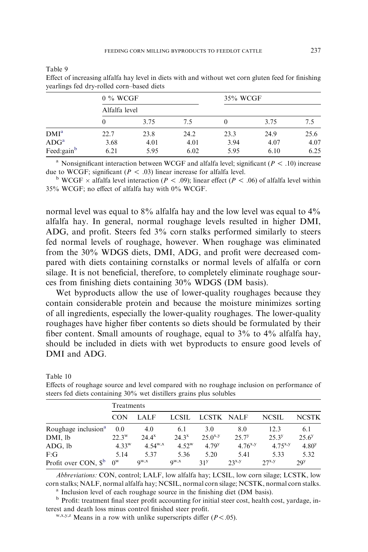| $\tilde{\phantom{a}}$<br>~ | $0\%$ WCGF    |      |      | 35% WCGF |      |      |
|----------------------------|---------------|------|------|----------|------|------|
|                            | Alfalfa level |      |      |          |      |      |
|                            |               | 3.75 | 7.5  |          | 3.75 | 7.5  |
| DMI <sup>a</sup>           | 22.7          | 23.8 | 24.2 | 23.3     | 24.9 | 25.6 |
| ADG <sup>a</sup>           | 3.68          | 4.01 | 4.01 | 3.94     | 4.07 | 4.07 |
| Feed:gain <sup>b</sup>     | 6.21          | 5.95 | 6.02 | 5.95     | 6.10 | 6.25 |

<span id="page-14-0"></span>Table 9

Table 10

Effect of increasing alfalfa hay level in diets with and without wet corn gluten feed for finishing yearlings fed dry-rolled corn–based diets

<sup>a</sup> Nonsignificant interaction between WCGF and alfalfa level; significant ( $P < .10$ ) increase

due to WCGF; significant ( $P < .03$ ) linear increase for alfalfa level.<br><sup>b</sup> WCGF  $\times$  alfalfa level interaction ( $P < .09$ ); linear effect ( $P < .06$ ) of alfalfa level within 35% WCGF; no effect of alfalfa hay with 0% WCGF.

normal level was equal to 8% alfalfa hay and the low level was equal to 4% alfalfa hay. In general, normal roughage levels resulted in higher DMI, ADG, and profit. Steers fed 3% corn stalks performed similarly to steers fed normal levels of roughage, however. When roughage was eliminated from the 30% WDGS diets, DMI, ADG, and profit were decreased compared with diets containing cornstalks or normal levels of alfalfa or corn silage. It is not beneficial, therefore, to completely eliminate roughage sources from finishing diets containing 30% WDGS (DM basis).

Wet byproducts allow the use of lower-quality roughages because they contain considerable protein and because the moisture minimizes sorting of all ingredients, especially the lower-quality roughages. The lower-quality roughages have higher fiber contents so diets should be formulated by their fiber content. Small amounts of roughage, equal to 3% to 4% alfalfa hay, should be included in diets with wet byproducts to ensure good levels of DMI and ADG.

| steers fed dicts containing 50% wet distincts grains plus solubles |                |             |              |                   |              |               |                   |  |  |  |
|--------------------------------------------------------------------|----------------|-------------|--------------|-------------------|--------------|---------------|-------------------|--|--|--|
|                                                                    | Treatments     |             |              |                   |              |               |                   |  |  |  |
|                                                                    | <b>CON</b>     | <b>LALF</b> | <b>LCSIL</b> | LCSTK NALF        |              | <b>NCSIL</b>  | <b>NCSTK</b>      |  |  |  |
| Roughage inclusion <sup>a</sup>                                    | 0.0            | 4.0         | 6.1          | 3.0               | 8.0          | 12.3          | 6.1               |  |  |  |
| DMI, lb                                                            | $22.3^{\rm w}$ | $24.4^x$    | $24.3^x$     | $25.0^{x,y}$      | $25.7^y$     | $25.3^{y}$    | $25.6^{y}$        |  |  |  |
| ADG, lb                                                            | $4.33^{w}$     | 4.54 $W, X$ | $4.52^w$     | 4 79 <sup>y</sup> | $4.76^{x,y}$ | 4.75 $^{x,y}$ | 4.80 <sup>y</sup> |  |  |  |
| F:G                                                                | 5.14           | 5.37        | 5.36         | 5.20              | 5.41         | 5.33          | 5.32              |  |  |  |
| Profit over CON, $\mathbb{S}^{\text{b}}$                           | $0^{\rm w}$    | QW, X       | $Q^{W,X}$    | 31 <sup>y</sup>   | $23^{x,y}$   | $27^{x,y}$    | 29 <sup>y</sup>   |  |  |  |

Effects of roughage source and level compared with no roughage inclusion on performance of steers fed diets containing 30% wet distillers grains plus solubles

Abbreviations: CON, control; LALF, low alfalfa hay; LCSIL, low corn silage; LCSTK, low corn stalks; NALF, normal alfalfa hay; NCSIL, normal corn silage; NCSTK, normal corn stalks. <sup>a</sup> Inclusion level of each roughage source in the finishing diet (DM basis).

<sup>b</sup> Profit: treatment final steer profit accounting for initial steer cost, health cost, yardage, in-

terest and death loss minus control finished steer profit. w,x,y,z Means in a row with unlike superscripts differ ( $P$  < .05).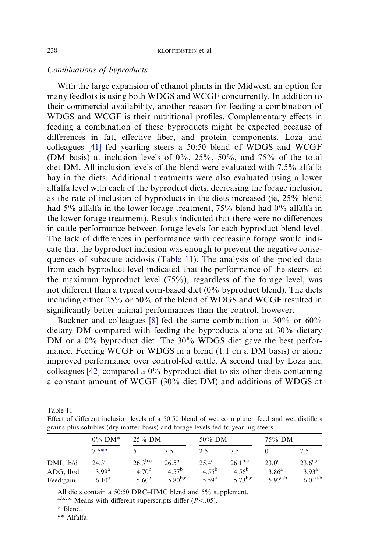#### Combinations of byproducts

With the large expansion of ethanol plants in the Midwest, an option for many feedlots is using both WDGS and WCGF concurrently. In addition to their commercial availability, another reason for feeding a combination of WDGS and WCGF is their nutritional profiles. Complementary effects in feeding a combination of these byproducts might be expected because of differences in fat, effective fiber, and protein components. Loza and colleagues [\[41\]](#page-22-0) fed yearling steers a 50:50 blend of WDGS and WCGF (DM basis) at inclusion levels of 0%, 25%, 50%, and 75% of the total diet DM. All inclusion levels of the blend were evaluated with 7.5% alfalfa hay in the diets. Additional treatments were also evaluated using a lower alfalfa level with each of the byproduct diets, decreasing the forage inclusion as the rate of inclusion of byproducts in the diets increased (ie, 25% blend had 5% alfalfa in the lower forage treatment, 75% blend had 0% alfalfa in the lower forage treatment). Results indicated that there were no differences in cattle performance between forage levels for each byproduct blend level. The lack of differences in performance with decreasing forage would indicate that the byproduct inclusion was enough to prevent the negative consequences of subacute acidosis (Table 11). The analysis of the pooled data from each byproduct level indicated that the performance of the steers fed the maximum byproduct level (75%), regardless of the forage level, was not different than a typical corn-based diet (0% byproduct blend). The diets including either 25% or 50% of the blend of WDGS and WCGF resulted in significantly better animal performances than the control, however.

Buckner and colleagues [\[8\]](#page-21-0) fed the same combination at 30% or 60% dietary DM compared with feeding the byproducts alone at 30% dietary DM or a 0% byproduct diet. The 30% WDGS diet gave the best performance. Feeding WCGF or WDGS in a blend (1:1 on a DM basis) or alone improved performance over control-fed cattle. A second trial by Loza and colleagues [\[42\]](#page-22-0) compared a 0% byproduct diet to six other diets containing a constant amount of WCGF (30% diet DM) and additions of WDGS at

| Table 11 |                                                                                                  |  |  |  |  |  |
|----------|--------------------------------------------------------------------------------------------------|--|--|--|--|--|
|          | Effect of different inclusion levels of a 50:50 blend of wet corn gluten feed and wet distillers |  |  |  |  |  |
|          | grains plus solubles (dry matter basis) and forage levels fed to yearling steers                 |  |  |  |  |  |

|                                     | $0\%$ DM*<br>$75***$                                     | $25\%$ DM                                  |                                              | $50\%$ DM                                         |                                            | 75% DM                                           |                                                |
|-------------------------------------|----------------------------------------------------------|--------------------------------------------|----------------------------------------------|---------------------------------------------------|--------------------------------------------|--------------------------------------------------|------------------------------------------------|
|                                     |                                                          |                                            | 75                                           | 2.5                                               | 75                                         |                                                  | 7.5                                            |
| DMI, lb/d<br>ADG, lb/d<br>Feed:gain | $24.3^{\rm a}$<br>3.99 <sup>a</sup><br>6.10 <sup>a</sup> | $26.3^{b,c}$<br>$4.70^{b}$<br>$5.60^\circ$ | $26.5^{\rm b}$<br>$4.57^{b}$<br>$5.80^{b,c}$ | $25.4^{\circ}$<br>$4.55^{b}$<br>5.59 <sup>c</sup> | $26.1^{b,c}$<br>$4.56^{b}$<br>$5.73^{b,c}$ | $23.0^{\rm d}$<br>$3.86^{\rm a}$<br>$5.97^{a,b}$ | $23.6^{a,d}$<br>$3.93^{\rm a}$<br>$6.01^{a,b}$ |

All diets contain a 50:50 DRC–HMC blend and 5% supplement.

a,b,c,d Means with different superscripts differ ( $P < .05$ ).

\* Blend.

\*\* Alfalfa.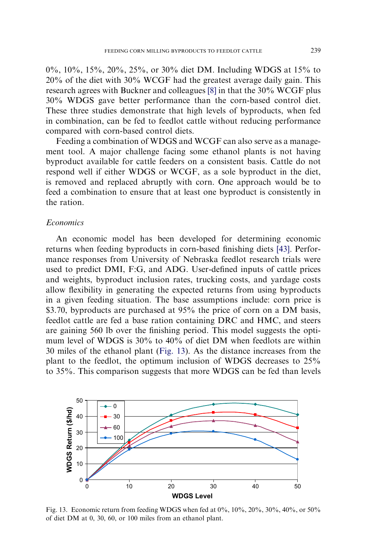0%, 10%, 15%, 20%, 25%, or 30% diet DM. Including WDGS at 15% to 20% of the diet with 30% WCGF had the greatest average daily gain. This research agrees with Buckner and colleagues [\[8\]](#page-21-0) in that the 30% WCGF plus 30% WDGS gave better performance than the corn-based control diet. These three studies demonstrate that high levels of byproducts, when fed in combination, can be fed to feedlot cattle without reducing performance compared with corn-based control diets.

Feeding a combination of WDGS and WCGF can also serve as a management tool. A major challenge facing some ethanol plants is not having byproduct available for cattle feeders on a consistent basis. Cattle do not respond well if either WDGS or WCGF, as a sole byproduct in the diet, is removed and replaced abruptly with corn. One approach would be to feed a combination to ensure that at least one byproduct is consistently in the ration.

# **Economics**

An economic model has been developed for determining economic returns when feeding byproducts in corn-based finishing diets [\[43\]](#page-22-0). Performance responses from University of Nebraska feedlot research trials were used to predict DMI, F:G, and ADG. User-defined inputs of cattle prices and weights, byproduct inclusion rates, trucking costs, and yardage costs allow flexibility in generating the expected returns from using byproducts in a given feeding situation. The base assumptions include: corn price is \$3.70, byproducts are purchased at 95% the price of corn on a DM basis, feedlot cattle are fed a base ration containing DRC and HMC, and steers are gaining 560 lb over the finishing period. This model suggests the optimum level of WDGS is 30% to 40% of diet DM when feedlots are within 30 miles of the ethanol plant (Fig. 13). As the distance increases from the plant to the feedlot, the optimum inclusion of WDGS decreases to 25% to 35%. This comparison suggests that more WDGS can be fed than levels



Fig. 13. Economic return from feeding WDGS when fed at 0%, 10%, 20%, 30%, 40%, or 50% of diet DM at 0, 30, 60, or 100 miles from an ethanol plant.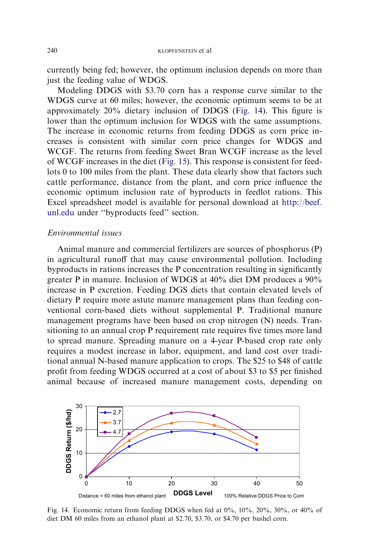currently being fed; however, the optimum inclusion depends on more than just the feeding value of WDGS.

Modeling DDGS with \$3.70 corn has a response curve similar to the WDGS curve at 60 miles; however, the economic optimum seems to be at approximately 20% dietary inclusion of DDGS (Fig. 14). This figure is lower than the optimum inclusion for WDGS with the same assumptions. The increase in economic returns from feeding DDGS as corn price increases is consistent with similar corn price changes for WDGS and WCGF. The returns from feeding Sweet Bran WCGF increase as the level of WCGF increases in the diet ([Fig. 15](#page-18-0)). This response is consistent for feedlots 0 to 100 miles from the plant. These data clearly show that factors such cattle performance, distance from the plant, and corn price influence the economic optimum inclusion rate of byproducts in feedlot rations. This Excel spreadsheet model is available for personal download at [http://beef.](http://beef.unl.edu) [unl.edu](http://beef.unl.edu) under ''byproducts feed'' section.

#### Environmental issues

Animal manure and commercial fertilizers are sources of phosphorus (P) in agricultural runoff that may cause environmental pollution. Including byproducts in rations increases the P concentration resulting in significantly greater P in manure. Inclusion of WDGS at 40% diet DM produces a 90% increase in P excretion. Feeding DGS diets that contain elevated levels of dietary P require more astute manure management plans than feeding conventional corn-based diets without supplemental P. Traditional manure management programs have been based on crop nitrogen (N) needs. Transitioning to an annual crop P requirement rate requires five times more land to spread manure. Spreading manure on a 4-year P-based crop rate only requires a modest increase in labor, equipment, and land cost over traditional annual N-based manure application to crops. The \$25 to \$48 of cattle profit from feeding WDGS occurred at a cost of about \$3 to \$5 per finished animal because of increased manure management costs, depending on



Fig. 14. Economic return from feeding DDGS when fed at 0%, 10%, 20%, 30%, or 40% of diet DM 60 miles from an ethanol plant at \$2.70, \$3.70, or \$4.70 per bushel corn.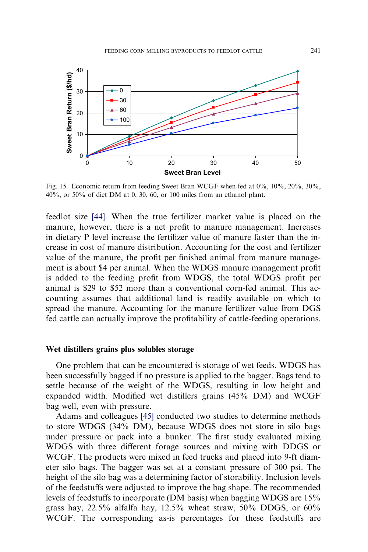<span id="page-18-0"></span>

Fig. 15. Economic return from feeding Sweet Bran WCGF when fed at 0%, 10%, 20%, 30%, 40%, or 50% of diet DM at 0, 30, 60, or 100 miles from an ethanol plant.

feedlot size [\[44\]](#page-22-0). When the true fertilizer market value is placed on the manure, however, there is a net profit to manure management. Increases in dietary P level increase the fertilizer value of manure faster than the increase in cost of manure distribution. Accounting for the cost and fertilizer value of the manure, the profit per finished animal from manure management is about \$4 per animal. When the WDGS manure management profit is added to the feeding profit from WDGS, the total WDGS profit per animal is \$29 to \$52 more than a conventional corn-fed animal. This accounting assumes that additional land is readily available on which to spread the manure. Accounting for the manure fertilizer value from DGS fed cattle can actually improve the profitability of cattle-feeding operations.

#### Wet distillers grains plus solubles storage

One problem that can be encountered is storage of wet feeds. WDGS has been successfully bagged if no pressure is applied to the bagger. Bags tend to settle because of the weight of the WDGS, resulting in low height and expanded width. Modified wet distillers grains (45% DM) and WCGF bag well, even with pressure.

Adams and colleagues [\[45\]](#page-22-0) conducted two studies to determine methods to store WDGS (34% DM), because WDGS does not store in silo bags under pressure or pack into a bunker. The first study evaluated mixing WDGS with three different forage sources and mixing with DDGS or WCGF. The products were mixed in feed trucks and placed into 9-ft diameter silo bags. The bagger was set at a constant pressure of 300 psi. The height of the silo bag was a determining factor of storability. Inclusion levels of the feedstuffs were adjusted to improve the bag shape. The recommended levels of feedstuffs to incorporate (DM basis) when bagging WDGS are 15% grass hay,  $22.5\%$  alfalfa hay,  $12.5\%$  wheat straw,  $50\%$  DDGS, or  $60\%$ WCGF. The corresponding as-is percentages for these feedstuffs are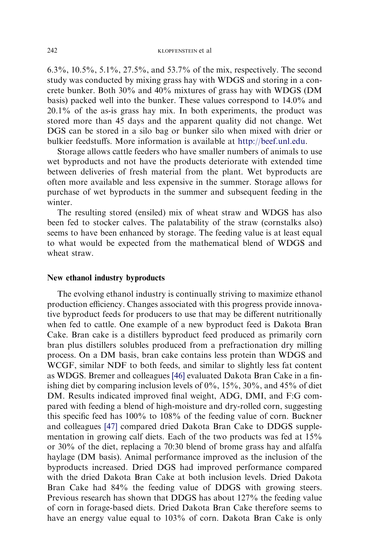6.3%, 10.5%, 5.1%, 27.5%, and 53.7% of the mix, respectively. The second study was conducted by mixing grass hay with WDGS and storing in a concrete bunker. Both 30% and 40% mixtures of grass hay with WDGS (DM basis) packed well into the bunker. These values correspond to 14.0% and 20.1% of the as-is grass hay mix. In both experiments, the product was stored more than 45 days and the apparent quality did not change. Wet DGS can be stored in a silo bag or bunker silo when mixed with drier or bulkier feedstuffs. More information is available at <http://beef.unl.edu>.

Storage allows cattle feeders who have smaller numbers of animals to use wet byproducts and not have the products deteriorate with extended time between deliveries of fresh material from the plant. Wet byproducts are often more available and less expensive in the summer. Storage allows for purchase of wet byproducts in the summer and subsequent feeding in the winter.

The resulting stored (ensiled) mix of wheat straw and WDGS has also been fed to stocker calves. The palatability of the straw (cornstalks also) seems to have been enhanced by storage. The feeding value is at least equal to what would be expected from the mathematical blend of WDGS and wheat straw.

#### New ethanol industry byproducts

The evolving ethanol industry is continually striving to maximize ethanol production efficiency. Changes associated with this progress provide innovative byproduct feeds for producers to use that may be different nutritionally when fed to cattle. One example of a new byproduct feed is Dakota Bran Cake. Bran cake is a distillers byproduct feed produced as primarily corn bran plus distillers solubles produced from a prefractionation dry milling process. On a DM basis, bran cake contains less protein than WDGS and WCGF, similar NDF to both feeds, and similar to slightly less fat content as WDGS. Bremer and colleagues [\[46\]](#page-22-0) evaluated Dakota Bran Cake in a finishing diet by comparing inclusion levels of  $0\%$ ,  $15\%$ ,  $30\%$ , and  $45\%$  of diet DM. Results indicated improved final weight, ADG, DMI, and F:G compared with feeding a blend of high-moisture and dry-rolled corn, suggesting this specific feed has 100% to 108% of the feeding value of corn. Buckner and colleagues [\[47\]](#page-22-0) compared dried Dakota Bran Cake to DDGS supplementation in growing calf diets. Each of the two products was fed at 15% or 30% of the diet, replacing a 70:30 blend of brome grass hay and alfalfa haylage (DM basis). Animal performance improved as the inclusion of the byproducts increased. Dried DGS had improved performance compared with the dried Dakota Bran Cake at both inclusion levels. Dried Dakota Bran Cake had 84% the feeding value of DDGS with growing steers. Previous research has shown that DDGS has about 127% the feeding value of corn in forage-based diets. Dried Dakota Bran Cake therefore seems to have an energy value equal to 103% of corn. Dakota Bran Cake is only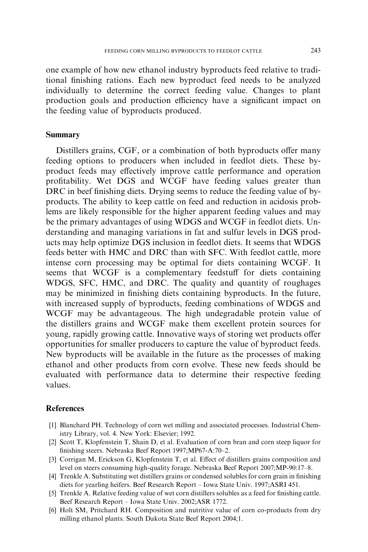<span id="page-20-0"></span>one example of how new ethanol industry byproducts feed relative to traditional finishing rations. Each new byproduct feed needs to be analyzed individually to determine the correct feeding value. Changes to plant production goals and production efficiency have a significant impact on the feeding value of byproducts produced.

# Summary

Distillers grains, CGF, or a combination of both byproducts offer many feeding options to producers when included in feedlot diets. These byproduct feeds may effectively improve cattle performance and operation profitability. Wet DGS and WCGF have feeding values greater than DRC in beef finishing diets. Drying seems to reduce the feeding value of byproducts. The ability to keep cattle on feed and reduction in acidosis problems are likely responsible for the higher apparent feeding values and may be the primary advantages of using WDGS and WCGF in feedlot diets. Understanding and managing variations in fat and sulfur levels in DGS products may help optimize DGS inclusion in feedlot diets. It seems that WDGS feeds better with HMC and DRC than with SFC. With feedlot cattle, more intense corn processing may be optimal for diets containing WCGF. It seems that WCGF is a complementary feedstuff for diets containing WDGS, SFC, HMC, and DRC. The quality and quantity of roughages may be minimized in finishing diets containing byproducts. In the future, with increased supply of byproducts, feeding combinations of WDGS and WCGF may be advantageous. The high undegradable protein value of the distillers grains and WCGF make them excellent protein sources for young, rapidly growing cattle. Innovative ways of storing wet products offer opportunities for smaller producers to capture the value of byproduct feeds. New byproducts will be available in the future as the processes of making ethanol and other products from corn evolve. These new feeds should be evaluated with performance data to determine their respective feeding values.

#### **References**

- [1] Blanchard PH. Technology of corn wet milling and associated processes. Industrial Chemistry Library, vol. 4. New York: Elsevier; 1992.
- [2] Scott T, Klopfenstein T, Shain D, et al. Evaluation of corn bran and corn steep liquor for finishing steers. Nebraska Beef Report 1997;MP67-A:70–2.
- [3] Corrigan M, Erickson G, Klopfenstein T, et al. Effect of distillers grains composition and level on steers consuming high-quality forage. Nebraska Beef Report 2007;MP-90:17–8.
- [4] Trenkle A. Substituting wet distillers grains or condensed solubles for corn grain in finishing diets for yearling heifers. Beef Research Report – Iowa State Univ. 1997;ASRI 451.
- [5] Trenkle A. Relative feeding value of wet corn distillers solubles as a feed for finishing cattle. Beef Research Report – Iowa State Univ. 2002;ASR 1772.
- [6] Holt SM, Pritchard RH. Composition and nutritive value of corn co-products from dry milling ethanol plants. South Dakota State Beef Report 2004;1.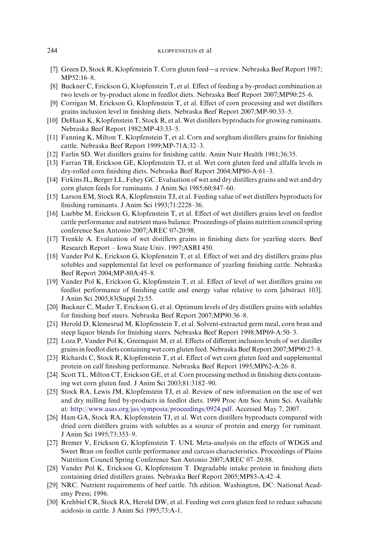- <span id="page-21-0"></span>[7] Green D, Stock R, Klopfenstein T. Corn gluten feed—a review. Nebraska Beef Report 1987; MP52:16–8.
- [8] Buckner C, Erickson G, Klopfenstein T, et al. Effect of feeding a by-product combination at two levels or by-product alone in feedlot diets. Nebraska Beef Report 2007;MP90:25–6.
- [9] Corrigan M, Erickson G, Klopfenstein T, et al. Effect of corn processing and wet distillers grains inclusion level in finishing diets. Nebraska Beef Report 2007;MP-90:33–5.
- [10] DeHaan K, Klopfenstein T, Stock R, et al. Wet distillers byproducts for growing ruminants. Nebraska Beef Report 1982;MP-43:33–5.
- [11] Fanning K, Milton T, Klopfenstein T, et al. Corn and sorghum distillers grains for finishing cattle. Nebraska Beef Report 1999;MP-71A:32–3.
- [12] Farlin SD. Wet distillers grains for finishing cattle. Amin Nutr Health 1981;36:35.
- [13] Farran TB, Erickson GE, Klopfenstein TJ, et al. Wet corn gluten feed and alfalfa levels in dry-rolled corn finishing diets. Nebraska Beef Report 2004;MP80-A:61–3.
- [14] Firkins JL, Berger LL, Fehey GC. Evaluation of wet and dry distillers grains and wet and dry corn gluten feeds for ruminants. J Anim Sci 1985;60:847–60.
- [15] Larson EM, Stock RA, Klopfenstein TJ, et al. Feeding value of wet distillers byproducts for finishing ruminants. J Anim Sci 1993;71:2228–36.
- [16] Luebbe M, Erickson G, Klopfenstein T, et al. Effect of wet distillers grains level on feedlot cattle performance and nutrient mass balance. Proceedings of plains nutrition council spring conference San Antonio 2007;AREC 07-20:98.
- [17] Trenkle A. Evaluation of wet distillers grains in finishing diets for yearling steers. Beef Research Report – Iowa State Univ. 1997;ASRI 450.
- [18] Vander Pol K, Erickson G, Klopfenstein T, et al. Effect of wet and dry distillers grains plus solubles and supplemental fat level on performance of yearling finishing cattle. Nebraska Beef Report 2004;MP-80A:45–8.
- [19] Vander Pol K, Erickson G, Klopfenstein T, et al. Effect of level of wet distillers grains on feedlot performance of finishing cattle and energy value relative to corn [abstract 103]. J Anim Sci 2005;83(Suppl 2):55.
- [20] Buckner C, Mader T, Erickson G, et al. Optimum levels of dry distillers grains with solubles for finishing beef steers. Nebraska Beef Report 2007;MP90:36–8.
- [21] Herold D, Klemesrud M, Klopfenstein T, et al. Solvent-extracted germ meal, corn bran and steep liquor blends for finishing steers. Nebraska Beef Report 1998;MP69-A:50–3.
- [22] Loza P, Vander Pol K, Greenquist M, et al. Effects of different inclusion levels of wet distiller grains in feedlot diets containing wet corn gluten feed. Nebraska Beef Report 2007;MP90:27–8.
- [23] Richards C, Stock R, Klopfenstein T, et al. Effect of wet corn gluten feed and supplemental protein on calf finishing performance. Nebraska Beef Report 1995;MP62-A:26–8.
- [24] Scott TL, Milton CT, Erickson GE, et al. Corn processing method in finishing diets containing wet corn gluten feed. J Anim Sci 2003;81:3182–90.
- [25] Stock RA, Lewis JM, Klopfenstein TJ, et al. Review of new information on the use of wet and dry milling feed by-products in feedlot diets. 1999 Proc Am Soc Anim Sci. Available at: <http://www.asas.org/jas/symposia/proceedings/0924.pdf>. Accessed May 7, 2007.
- [26] Ham GA, Stock RA, Klopfenstein TJ, et al. Wet corn distillers byproducts compared with dried corn distillers grains with solubles as a source of protein and energy for ruminant. J Anim Sci 1995;73:353–9.
- [27] Bremer V, Erickson G, Klopfenstein T. UNL Meta-analysis on the effects of WDGS and Sweet Bran on feedlot cattle performance and carcass characteristics. Proceedings of Plains Nutrition Council Spring Conference San Antonio 2007;AREC 07–20:88.
- [28] Vander Pol K, Erickson G, Klopfenstein T. Degradable intake protein in finishing diets containing dried distillers grains. Nebraska Beef Report 2005;MP83-A:42–4.
- [29] NRC. Nutrient requirements of beef cattle. 7th edition. Washington, DC: National Academy Press; 1996.
- [30] Krehbiel CR, Stock RA, Herold DW, et al. Feeding wet corn gluten feed to reduce subacute acidosis in cattle. J Anim Sci 1995;73:A-1.